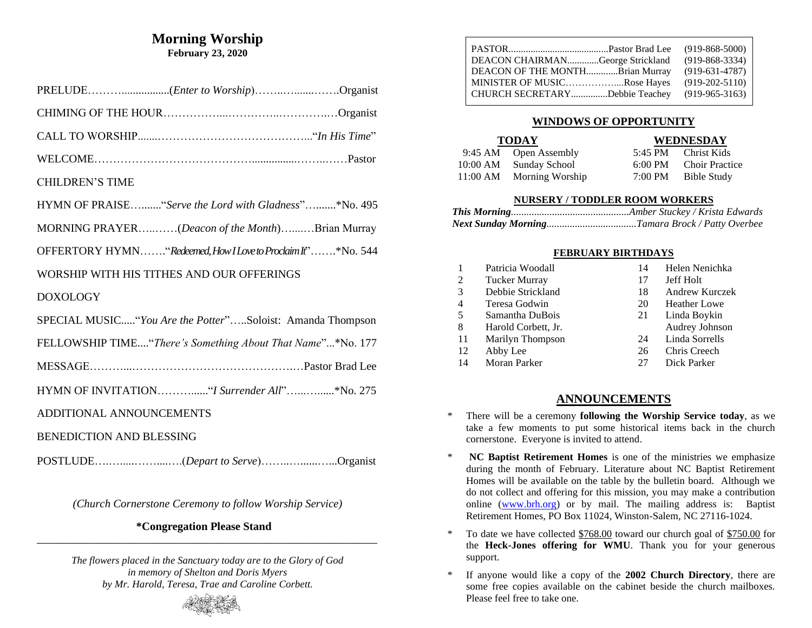### **Morning Worship February 23, 2020**

| <b>CHILDREN'S TIME</b>                                      |
|-------------------------------------------------------------|
| HYMN OF PRAISE "Serve the Lord with Gladness"*No. 495       |
| MORNING PRAYER(Deacon of the Month)Brian Murray             |
| OFFERTORY HYMN"Redeemed, How I Love to Proclaim If"*No. 544 |
| WORSHIP WITH HIS TITHES AND OUR OFFERINGS                   |
| <b>DOXOLOGY</b>                                             |
| SPECIAL MUSIC "You Are the Potter"Soloist: Amanda Thompson  |
| FELLOWSHIP TIME"There's Something About That Name"*No. 177  |
|                                                             |
| HYMN OF INVITATION" I Surrender All"* No. 275               |
| ADDITIONAL ANNOUNCEMENTS                                    |
| <b>BENEDICTION AND BLESSING</b>                             |
|                                                             |

*(Church Cornerstone Ceremony to follow Worship Service)*

#### **\*Congregation Please Stand \_\_\_\_\_\_\_\_\_\_\_\_\_\_\_\_\_\_\_\_\_\_\_\_\_\_\_\_\_\_\_\_\_\_\_\_\_\_\_\_\_\_\_\_\_\_\_\_\_\_\_\_\_\_\_\_\_\_\_\_\_\_\_\_\_\_\_\_\_\_\_\_\_\_\_\_\_\_\_\_\_\_\_**

*The flowers placed in the Sanctuary today are to the Glory of God in memory of Shelton and Doris Myers by Mr. Harold, Teresa, Trae and Caroline Corbett.*



## **WINDOWS OF OPPORTUNITY**

| <b>TODAY</b> |                       |                   | WEDNESDAY             |  |  |
|--------------|-----------------------|-------------------|-----------------------|--|--|
|              | 9:45 AM Open Assembly |                   | 5:45 PM Christ Kids   |  |  |
| 10:00 AM     | Sunday School         | $6:00 \text{ PM}$ | <b>Choir Practice</b> |  |  |
| 11:00 AM     | Morning Worship       | 7:00 PM           | Bible Study           |  |  |

### **NURSERY / TODDLER ROOM WORKERS**

### **FEBRUARY BIRTHDAYS**

| 1  | Patricia Woodall     | 14 | Helen Nenichka        |
|----|----------------------|----|-----------------------|
| 2  | <b>Tucker Murray</b> | 17 | Jeff Holt             |
| 3  | Debbie Strickland    | 18 | <b>Andrew Kurczek</b> |
| 4  | Teresa Godwin        | 20 | <b>Heather Lowe</b>   |
| 5  | Samantha DuBois      | 21 | Linda Boykin          |
| 8  | Harold Corbett, Jr.  |    | Audrey Johnson        |
| 11 | Marilyn Thompson     | 24 | Linda Sorrells        |
| 12 | Abby Lee             | 26 | Chris Creech          |
| 14 | <b>Moran Parker</b>  | 27 | Dick Parker           |

# **ANNOUNCEMENTS**

- \* There will be a ceremony **following the Worship Service today**, as we take a few moments to put some historical items back in the church cornerstone. Everyone is invited to attend.
- \* **NC Baptist Retirement Homes** is one of the ministries we emphasize during the month of February. Literature about NC Baptist Retirement Homes will be available on the table by the bulletin board. Although we do not collect and offering for this mission, you may make a contribution online [\(www.brh.org\)](http://www.brh.org/) or by mail. The mailing address is: Baptist Retirement Homes, PO Box 11024, Winston-Salem, NC 27116-1024.
- \* To date we have collected \$768.00 toward our church goal of \$750.00 for the **Heck-Jones offering for WMU**. Thank you for your generous support.
- \* If anyone would like a copy of the **2002 Church Directory**, there are some free copies available on the cabinet beside the church mailboxes. Please feel free to take one.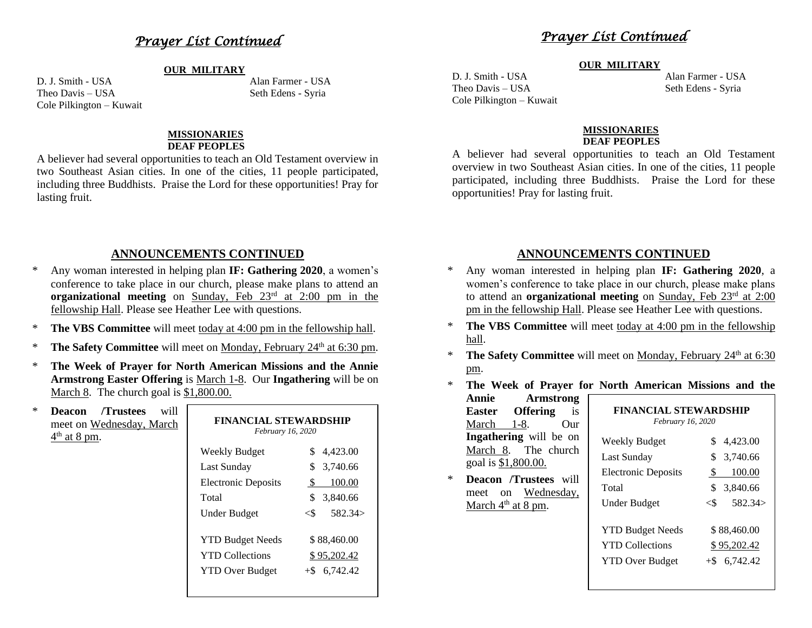# *Prayer List Continued*

#### **OUR MILITARY**

Theo Davis – USA Seth Edens - Syria Cole Pilkington – Kuwait

D. J. Smith - USA Alan Farmer - USA

#### **MISSIONARIES DEAF PEOPLES**

A believer had several opportunities to teach an Old Testament overview in two Southeast Asian cities. In one of the cities, 11 people participated, including three Buddhists. Praise the Lord for these opportunities! Pray for lasting fruit.

## **ANNOUNCEMENTS CONTINUED**

- Any woman interested in helping plan **IF: Gathering 2020**, a women's conference to take place in our church, please make plans to attend an **organizational meeting** on Sunday, Feb 23<sup>rd</sup> at 2:00 pm in the fellowship Hall. Please see Heather Lee with questions.
- \* **The VBS Committee** will meet today at 4:00 pm in the fellowship hall.
- **The Safety Committee** will meet on Monday, February 24<sup>th</sup> at 6:30 pm.
- \* **The Week of Prayer for North American Missions and the Annie Armstrong Easter Offering** is March 1-8. Our **Ingathering** will be on March 8. The church goal is \$1,800.00.

| $\ast$ | /Trustees<br><b>Deacon</b><br>will<br>meet on Wednesday, March<br>$4th$ at 8 pm. | <b>FINANCIAL STEWARDSHIP</b><br>February 16, 2020 |                 |
|--------|----------------------------------------------------------------------------------|---------------------------------------------------|-----------------|
|        |                                                                                  | Weekly Budget                                     | 4,423.00        |
|        |                                                                                  | <b>Last Sunday</b>                                | 3,740.66        |
|        |                                                                                  | <b>Electronic Deposits</b>                        | 100.00<br>\$.   |
|        |                                                                                  | Total                                             | 3,840.66<br>S   |
|        |                                                                                  | <b>Under Budget</b>                               | 582.34><br><\$  |
|        |                                                                                  | <b>YTD Budget Needs</b>                           | \$88,460.00     |
|        |                                                                                  | <b>YTD Collections</b>                            | \$95,202.42     |
|        |                                                                                  | <b>YTD Over Budget</b>                            | $+$ \$ 6,742.42 |
|        |                                                                                  |                                                   |                 |

# *Prayer List Continued*

#### **OUR MILITARY**

Theo Davis – USA Seth Edens - Syria Cole Pilkington – Kuwait

D. J. Smith - USA Alan Farmer - USA

#### **MISSIONARIES DEAF PEOPLES**

A believer had several opportunities to teach an Old Testament overview in two Southeast Asian cities. In one of the cities, 11 people participated, including three Buddhists. Praise the Lord for these opportunities! Pray for lasting fruit.

### **ANNOUNCEMENTS CONTINUED**

- Any woman interested in helping plan IF: Gathering 2020, a women's conference to take place in our church, please make plans to attend an **organizational meeting** on Sunday, Feb 23rd at 2:00 pm in the fellowship Hall. Please see Heather Lee with questions.
- \* **The VBS Committee** will meet today at 4:00 pm in the fellowship hall.
- \* **The Safety Committee** will meet on Monday, February 24<sup>th</sup> at 6:30 pm.
- \* **The Week of Prayer for North American Missions and the**

**Annie Armstrong Easter Offering** is March 1-8. Our **Ingathering** will be on March 8. The church goal is \$1,800.00.

\* **Deacon /Trustees** will meet on Wednesday, March 4<sup>th</sup> at 8 pm.

| FINANCIAL STEWARDSHIP<br>February 16, 2020 |                                    |  |  |
|--------------------------------------------|------------------------------------|--|--|
| Weekly Budget                              | \$<br>4,423.00                     |  |  |
| Last Sunday                                | \$<br>3,740.66                     |  |  |
| <b>Electronic Deposits</b>                 | 100.00<br>S                        |  |  |
| Total                                      | \$<br>3,840.66                     |  |  |
| Under Budget                               | 582.34><br>$<$ $\scriptstyle\rm S$ |  |  |
| <b>YTD Budget Needs</b>                    | \$88,460.00                        |  |  |
| <b>YTD</b> Collections                     | \$95,202.42                        |  |  |
| <b>YTD Over Budget</b>                     | 6,742.42<br>$+$ S                  |  |  |